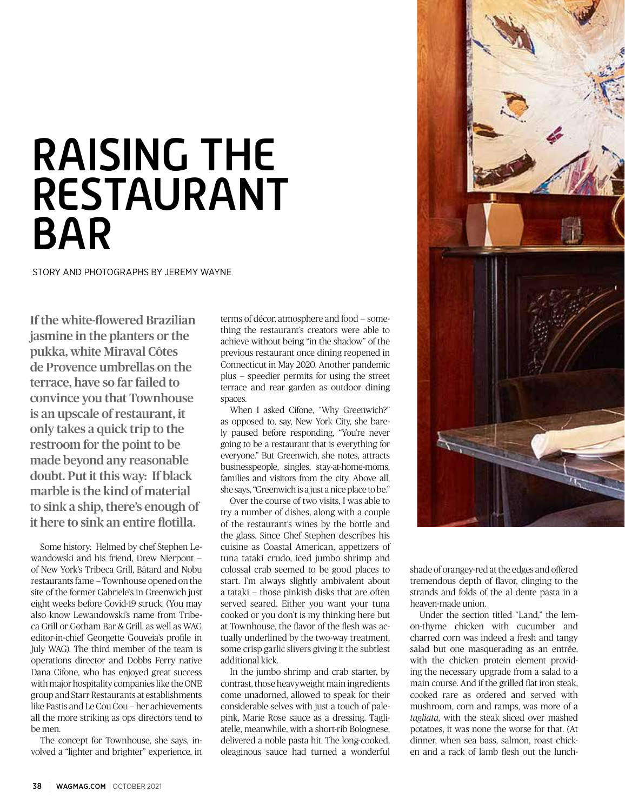## RAISING THE RESTAURANT BAR

STORY AND PHOTOGRAPHS BY JEREMY WAYNE

If the white-flowered Brazilian jasmine in the planters or the pukka, white Miraval Côtes de Provence umbrellas on the terrace, have so far failed to convince you that Townhouse is an upscale of restaurant, it only takes a quick trip to the restroom for the point to be made beyond any reasonable doubt. Put it this way: If black marble is the kind of material to sink a ship, there's enough of it here to sink an entire flotilla.

Some history: Helmed by chef Stephen Lewandowski and his friend, Drew Nierpont of New York's Tribeca Grill, Bâtard and Nobu restaurants fame — Townhouse opened on the site of the former Gabriele's in Greenwich just eight weeks before Covid-19 struck. (You may also know Lewandowski's name from Tribeca Grill or Gotham Bar & Grill, as well as WAG editor-in-chief Georgette Gouveia's profile in July WAG). The third member of the team is operations director and Dobbs Ferry native Dana Cifone, who has enjoyed great success with major hospitality companies like the ONE group and Starr Restaurants at establishments like Pastis and Le Cou Cou — her achievements all the more striking as ops directors tend to be men.

The concept for Townhouse, she says, involved a "lighter and brighter" experience, in

terms of décor, atmosphere and food — something the restaurant's creators were able to achieve without being "in the shadow" of the previous restaurant once dining reopened in Connecticut in May 2020. Another pandemic plus — speedier permits for using the street terrace and rear garden as outdoor dining spaces.

When I asked Cifone, "Why Greenwich?" as opposed to, say, New York City, she barely paused before responding, "You're never going to be a restaurant that is everything for everyone." But Greenwich, she notes, attracts businesspeople, singles, stay-at-home-moms, families and visitors from the city. Above all, she says, "Greenwich is a just a nice place to be."

Over the course of two visits, I was able to try a number of dishes, along with a couple of the restaurant's wines by the bottle and the glass. Since Chef Stephen describes his cuisine as Coastal American, appetizers of tuna tataki crudo, iced jumbo shrimp and colossal crab seemed to be good places to start. I'm always slightly ambivalent about a tataki — those pinkish disks that are often served seared. Either you want your tuna cooked or you don't is my thinking here but at Townhouse, the flavor of the flesh was actually underlined by the two-way treatment, some crisp garlic slivers giving it the subtlest additional kick.

In the jumbo shrimp and crab starter, by contrast, those heavyweight main ingredients come unadorned, allowed to speak for their considerable selves with just a touch of palepink, Marie Rose sauce as a dressing. Tagliatelle, meanwhile, with a short-rib Bolognese, delivered a noble pasta hit. The long-cooked, oleaginous sauce had turned a wonderful



shade of orangey-red at the edges and offered tremendous depth of flavor, clinging to the strands and folds of the al dente pasta in a heaven-made union.

Under the section titled "Land," the lemon-thyme chicken with cucumber and charred corn was indeed a fresh and tangy salad but one masquerading as an entrée, with the chicken protein element providing the necessary upgrade from a salad to a main course. And if the grilled flat iron steak, cooked rare as ordered and served with mushroom, corn and ramps, was more of a *tagliata*, with the steak sliced over mashed potatoes, it was none the worse for that. (At dinner, when sea bass, salmon, roast chicken and a rack of lamb flesh out the lunch-